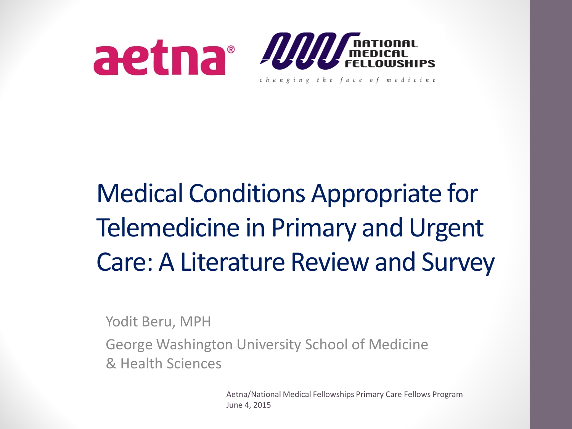

### Medical Conditions Appropriate for Telemedicine in Primary and Urgent Care: A Literature Review and Survey

Yodit Beru, MPH

George Washington University School of Medicine & Health Sciences

> Aetna/National Medical Fellowships Primary Care Fellows Program June 4, 2015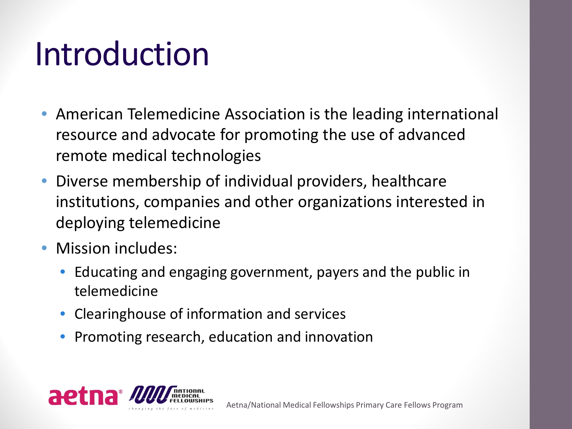### Introduction

- American Telemedicine Association is the leading international resource and advocate for promoting the use of advanced remote medical technologies
- Diverse membership of individual providers, healthcare institutions, companies and other organizations interested in deploying telemedicine
- Mission includes:
	- Educating and engaging government, payers and the public in telemedicine
	- Clearinghouse of information and services
	- Promoting research, education and innovation

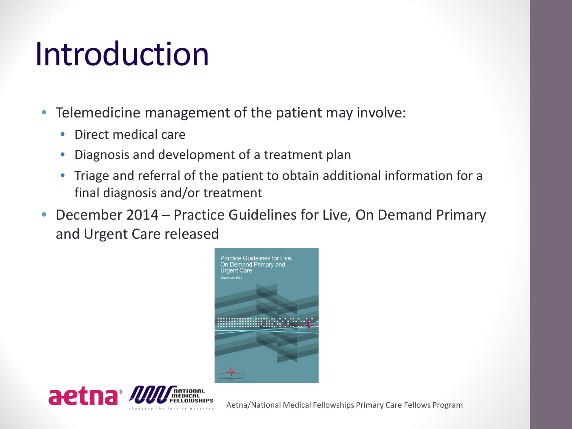### Introduction

- Telemedicine management of the patient may involve:
	- Direct medical care
	- Diagnosis and development of a treatment plan
	- Triage and referral of the patient to obtain additional information for a final diagnosis and/or treatment
- December 2014 Practice Guidelines for Live, On Demand Primary and Urgent Care released





Aetna/National Medical Fellowships Primary Care Fellows Program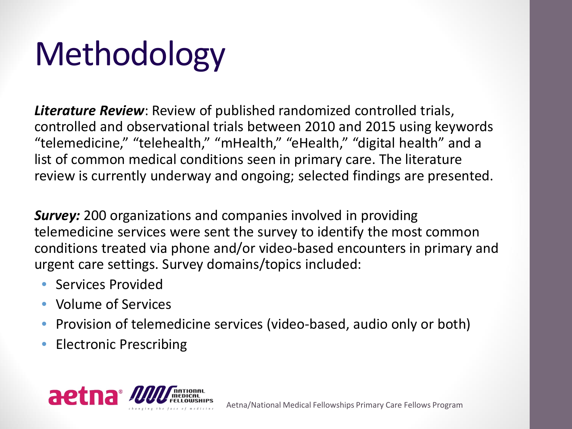# Methodology

*Literature Review*: Review of published randomized controlled trials, controlled and observational trials between 2010 and 2015 using keywords "telemedicine," "telehealth," "mHealth," "eHealth," "digital health" and a list of common medical conditions seen in primary care. The literature review is currently underway and ongoing; selected findings are presented.

*Survey:* 200 organizations and companies involved in providing telemedicine services were sent the survey to identify the most common conditions treated via phone and/or video-based encounters in primary and urgent care settings. Survey domains/topics included:

- Services Provided
- Volume of Services
- Provision of telemedicine services (video-based, audio only or both)
- Electronic Prescribing

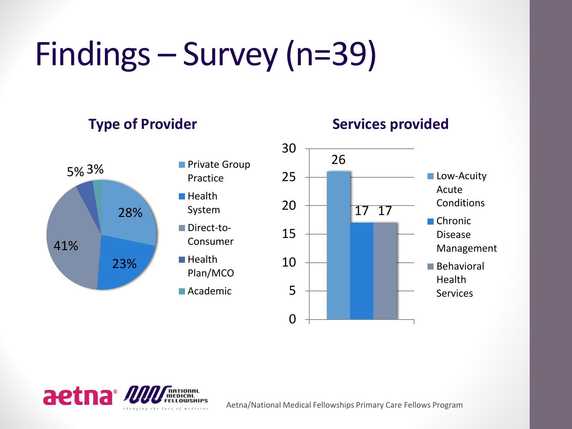# Findings – Survey (n=39)

#### **Type of Provider**





#### **Services provided**





Aetna/National Medical Fellowships Primary Care Fellows Program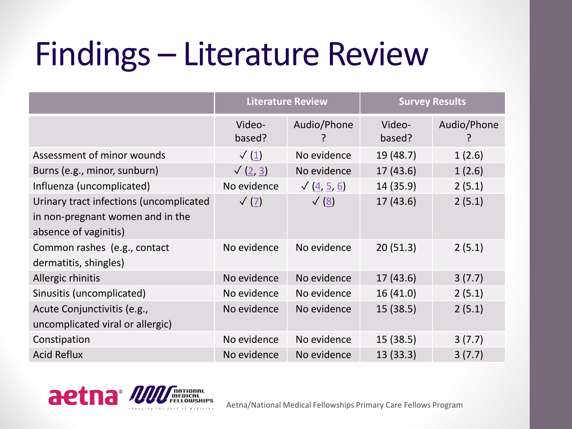## Findings – Literature Review

|                                                                                                      | <b>Literature Review</b> |                    | <b>Survey Results</b> |             |
|------------------------------------------------------------------------------------------------------|--------------------------|--------------------|-----------------------|-------------|
|                                                                                                      | Video-<br>based?         | Audio/Phone        | Video-<br>based?      | Audio/Phone |
| Assessment of minor wounds                                                                           | $\sqrt{(\underline{1})}$ | No evidence        | 19 (48.7)             | 1(2.6)      |
| Burns (e.g., minor, sunburn)                                                                         | $\sqrt{(2, 3)}$          | No evidence        | 17(43.6)              | 1(2.6)      |
| Influenza (uncomplicated)                                                                            | No evidence              | $\sqrt{(4, 5, 6)}$ | 14 (35.9)             | 2(5.1)      |
| Urinary tract infections (uncomplicated<br>in non-pregnant women and in the<br>absence of vaginitis) | $\sqrt{(7)}$             | $\sqrt{8}$         | 17(43.6)              | 2(5.1)      |
| Common rashes (e.g., contact<br>dermatitis, shingles)                                                | No evidence              | No evidence        | 20(51.3)              | 2(5.1)      |
| Allergic rhinitis                                                                                    | No evidence              | No evidence        | 17(43.6)              | 3(7.7)      |
| Sinusitis (uncomplicated)                                                                            | No evidence              | No evidence        | 16(41.0)              | 2(5.1)      |
| Acute Conjunctivitis (e.g.,<br>uncomplicated viral or allergic)                                      | No evidence              | No evidence        | 15(38.5)              | 2(5.1)      |
| Constipation                                                                                         | No evidence              | No evidence        | 15 (38.5)             | 3(7.7)      |
| <b>Acid Reflux</b>                                                                                   | No evidence              | No evidence        | 13 (33.3)             | 3(7.7)      |

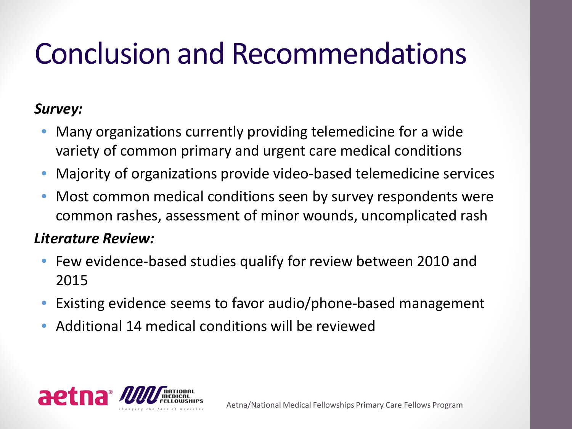### Conclusion and Recommendations

#### *Survey:*

- Many organizations currently providing telemedicine for a wide variety of common primary and urgent care medical conditions
- Majority of organizations provide video-based telemedicine services
- Most common medical conditions seen by survey respondents were common rashes, assessment of minor wounds, uncomplicated rash

#### *Literature Review:*

- Few evidence-based studies qualify for review between 2010 and 2015
- Existing evidence seems to favor audio/phone-based management
- Additional 14 medical conditions will be reviewed

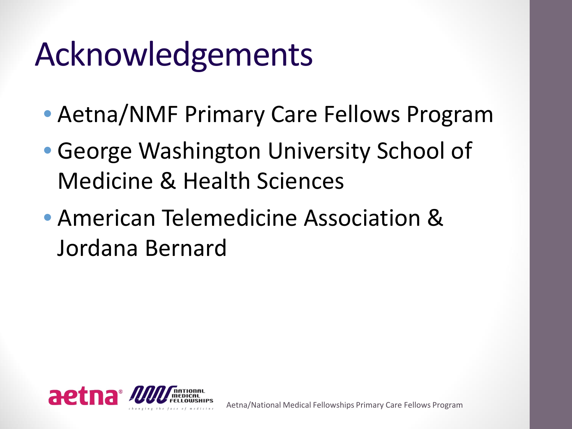## Acknowledgements

- Aetna/NMF Primary Care Fellows Program
- George Washington University School of Medicine & Health Sciences
- American Telemedicine Association & Jordana Bernard